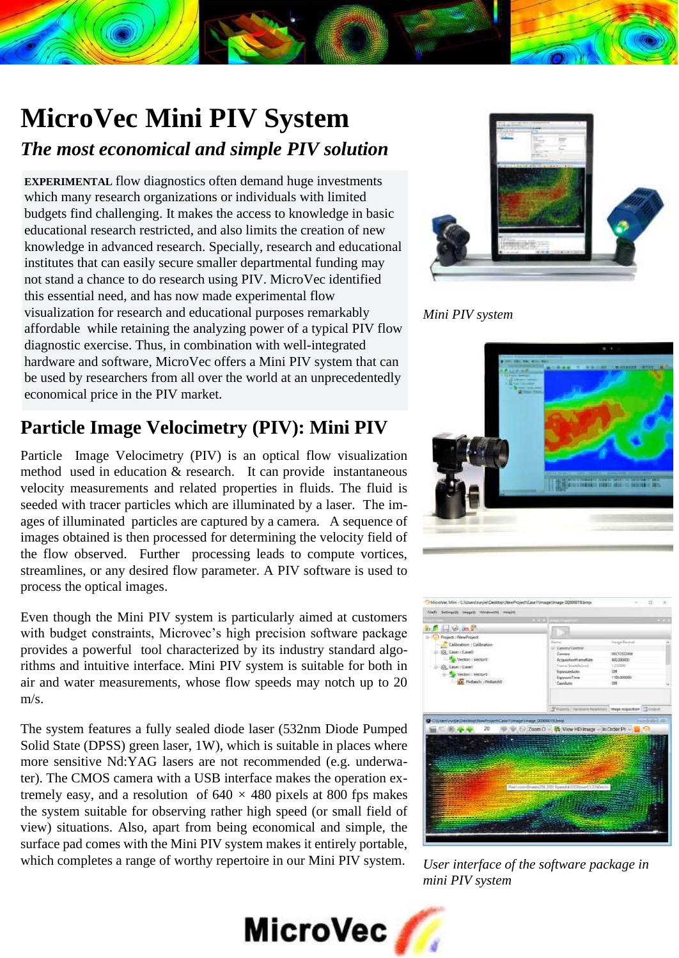# **MicroVec Mini PIV System**

#### *The most economical and simple PIV solution*

**EXPERIMENTAL** flow diagnostics often demand huge investments which many research organizations or individuals with limited budgets find challenging. It makes the access to knowledge in basic educational research restricted, and also limits the creation of new knowledge in advanced research. Specially, research and educational institutes that can easily secure smaller departmental funding may not stand a chance to do research using PIV. MicroVec identified this essential need, and has now made experimental flow visualization for research and educational purposes remarkably affordable while retaining the analyzing power of a typical PIV flow diagnostic exercise. Thus, in combination with well-integrated hardware and software, MicroVec offers a Mini PIV system that can be used by researchers from all over the world at an unprecedentedly economical price in the PIV market.

### **Particle Image Velocimetry (PIV): Mini PIV**

Particle Image Velocimetry (PIV) is an optical flow visualization method used in education & research. It can provide instantaneous velocity measurements and related properties in fluids. The fluid is seeded with tracer particles which are illuminated by a laser. The images of illuminated particles are captured by a camera. A sequence of images obtained is then processed for determining the velocity field of the flow observed. Further processing leads to compute vortices, streamlines, or any desired flow parameter. A PIV software is used to process the optical images.

Even though the Mini PIV system is particularly aimed at customers with budget constraints, Microvec's high precision software package provides a powerful tool characterized by its industry standard algorithms and intuitive interface. Mini PIV system is suitable for both in air and water measurements, whose flow speeds may notch up to 20 m/s.

The system features a fully sealed diode laser (532nm Diode Pumped Solid State (DPSS) green laser, 1W), which is suitable in places where more sensitive Nd:YAG lasers are not recommended (e.g. underwater). The CMOS camera with a USB interface makes the operation extremely easy, and a resolution of  $640 \times 480$  pixels at 800 fps makes the system suitable for observing rather high speed (or small field of view) situations. Also, apart from being economical and simple, the surface pad comes with the Mini PIV system makes it entirely portable, which completes a range of worthy repertoire in our Mini PIV system.



*Mini PIV system*





*User interface of the software package in mini PIV system*